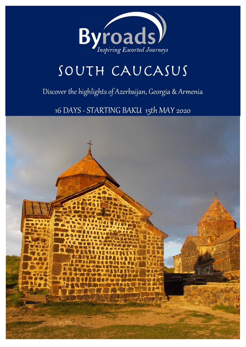

# SOUTH CAUCASUS

# Discover the highlights of Azerbaijan, Georgia & Armenia

16 DAYS - STARTING BAKU 15th MAY 2020

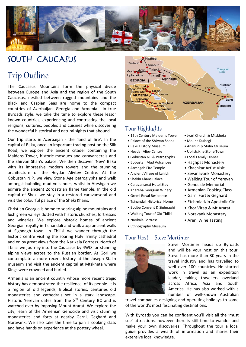

# SOuTH CAuCASuS

# Trip Outline

The Caucasus Mountains form the physical divide between Europe and Asia and the region of the South Caucasus, nestled between rugged mountains and the Black and Caspian Seas are home to the compact countries of Azerbaijan, Georgia and Armenia. In true Byroads style, we take the time to explore these lessor known countries, experiencing and contrasting the local religions, cultures, peoples and cuisines while discovering the wonderful historical and natural sights that abound.

Our trip starts in Azerbaijan ‐ the 'land of fire'. In the capital of Baku, once an important trading post on the Silk Road, we explore the ancient citadel containing the Maidens Tower, historic mosques and caravanserais and the Shirvan Shah's palace. We then discover 'New' Baku with its impressive modern towers and the stunning architecture of the Heydar Aliytev Centre. At the Gobustan N.P. we view Stone Age petroglyphs and walk amongst bubbling mud volcanoes, whilst in Ateshgah we admire the ancient Zoroastrian flame temple. In the old capital of Sheki we stay in a restored caravanserai and visit the colourful palace of the Sheki Khans.

Christian Georgia is home to soaring alpine mountains and lush green valleys dotted with historic churches, fortresses and wineries. We explore historic homes of ancient Georgian royalty in Tsinandali and walk atop ancient walls at Sighnagh town. In Tbilisi we wander through the historic centre visiting the soaring Holy Trinity cathedral and enjoy great views from the Narikala Fortress. North of Tbilisi we journey into the Caucasus by 4WD for stunning alpine views across to the Russian border. At Gori we contemplate a more recent history at the Joseph Stalin museum and visit the ancient capital at Mtskheta where Kings were crowned and buried.

Armenia is an ancient country whose more recent tragic history has demonstrated the resilience of its people. It is a region of old legends, Biblical stories, centuries old monasteries and cathedrals set in a stark landscape. Historic Yerevan dates from the  $8<sup>th</sup>$  Century BC and is watched over by imposing Mount Ararat. We explore the city, learn of the Armenian Genocide and visit stunning monasteries and forts at nearby Garni, Geghard and Noravank. We also take the time to join a cooking class and have hands on experience at the pottery wheel.



# Tour Highlights

- 12th Century Maiden's Tower Jvari Church & Mtskheta
- Palace of the Shirvan Shahs Mount Kazbegi
	-
- 
- Gobustan NP & Petroglyphs Local Family Dinner
- Bobustan Mud Volcanoes Haghpat Monastery
- 
- Ancient Village of Lahich Sevanavank Monastery
- Shekhi Khans Palace Valking Tour of Yerevan
- Caravanserai Hotel Stay Genocide Memorial
- Khareba Georgian Winery Armenian Cooking Class
- 
- Tsinandali Historical Home Etchmiadzin Apostolic Ctr
- Bodbe Convent & Sighnaghi Khor Virap & Mt Ararat
- Walking Tour of Old Tbilisi Noravank Monastery
- 
- Ethnography Museum

### Tour Host – Steve Mortimer



Steve Mortimer heads up Byroads and will be your host on this tour. Steve has more than 30 years in the travel industry and has travelled to well over 100 countries. He started work in travel as an expedition leader, taking travellers overland across Africa, Asia and South America. He has also worked with a number of well‐known Australian

travel companies designing and operating holidays to some of the world's most fascinating destinations.

With Byroads you can be confident you'll visit all the 'must see' attractions, however there is still time to wander and make your own discoveries. Throughout the tour a local guide provides a wealth of information and shares their extensive local knowledge.

- 
- 
- Baku History Museum Ananuri & Stalin Museum
- Heydar Aliey Centre Uplistsikhe Stone Town
	-
	-
- Ateshgah Fire Temple Khachkar Artist Visit
	-
	-
	-
	-
- Gremi Royal Residence Garni Fort & Geghard
	-
	-
	-
- Narikala Fortress Areni Wine Tasting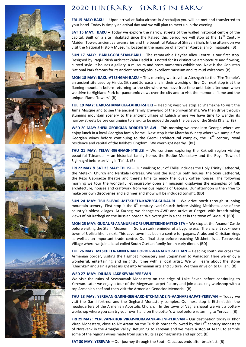

# 2020 Itinerary - starts IN BAKU

**FRI 15 MAY: BAKU –** Upon arrival at Baku airport in Azerbaijan you will be met and transferred to your hotel. Today is simply an arrival day and we will plan to meet up in the evening.

**SAT 16 MAY: BAKU** – Today we explore the narrow streets of the walled historical centre of the capital. Built on a site inhabited since the Palaeolithic period we will stop at the  $12<sup>th</sup>$  Century Maiden Tower, ancient caravansaries and the beautiful Palace of Shirvan Shah. In the afternoon we visit the National History Museum, located in the mansion of a former Azerbaijani oil magnate. (B)

**SUN 17 MAY: BAKU-GOBUSTAN-BAKU – The remarkable Heydar Aliev Centre is our first stop.** Designed by Iraqi‐British architect Zaha Hadid it is noted for its distinctive architecture and flowing, curved style. It houses a gallery, a museum and hosts numerous exhibitions. Next is the Gobustan National Park famous for its ancient petroglyphs, excellent museum and its mud volcanoes. (B)

**MON 18 MAY: BAKU-ATESHGAH-BAKU –** This morning we travel to Ateshgah to the 'Fire Temple', an ancient site used by Hindu, Sikh and Zoroastrians in their worship of fire. Our next stop is at the flaming mountain before returning to the city where we have free time until late afternoon when we drive to Highland Park for panoramic views over the city and to visit the memorial flame and the unique 'Flame Towers'. (B)

**TUE 19 MAY: BAKU-SHAMAKHA-LAHICH-SHEKI –** Heading west we stop at Shamakha to visit the Juma Mosque and to see the ancient family graveyard of the Shirvan Shahs. We then drive through stunning mountain scenery to the ancient village of Lahich where we have time to wander its narrow streets before continuing to Sheki to be guided through the palace of the Sheki Khans. (B)

**WED 20 MAY: SHEKI-GEORGIAN BORDER-TELAVI –** This morning we cross into Georgia where we enjoy lunch in a local Georgian family home. Next stop is the Khareba Winery where we sample fine Georgian wines before continuing to the Gremi architectural complex, the  $16<sup>th</sup>$  century royal residence and capital of the Kakheti Kingdom. We overnight nearby. (BL)

**THU 21 MAY: TELAVI-SIGHNAGHI-TBILISI** – We continue exploring the Kakheti region visiting beautiful Tsinandali – an historical family home, the Bodbe Monastery and the Royal Town of Sighnaghi before arriving in Tbilisi. (B)

**FRI 22 MAY & SAT 23 MAY: TBILISI** – Our walking tour of Tbilisi includes the Holy Trinity Cathedral, the Metekhi Church and Narikala Fortress. We visit the sulphur bath houses, the Sioni Cathedral, the Rezo Gabriadze theatre and there's time to enjoy the lovely coffee houses. The following morning we tour the wonderful ethnography open air museum displaying the examples of folk architecture, houses and craftwork from various regions of Georgia. Our afternoon is then free to make our own discoveries and a dinner and show will be included tonight. (BD)

**SUN 24 MAY: TBILISI-JVARI-MTSKHETA-KAZBEGI-GUDAURI** – We drive north through stunning mountain scenery. First stop is the  $6<sup>th</sup>$  century Jvari Church before visiting Mtskheta, one of the country's oldest villages. At Kazbegi we change to 4WD and arrive at Gergeti with breath taking views of Mt Kazbegi on the Russian border. We overnight in a chalet in the town of Gudauri. (BD)

**MON 25 MAY: GUDAURI-ANANURI-GORI-UPLISTSIKHE-MTSKHETA** – We stop at the Ananuri Castle before visiting the Stalin Museum in Gori, a stark reminder of a bygone era. The ancient rock‐hewn town of Uplistsikhe is next. This cave town has been a centre for pagans, Arabs and Christian kings as well as an important trade centre. Our final stop before reaching Mtskheta is at Tserovania Village where we join a local exiled South Osetian family for an early dinner. (BD)

**TUE 26 MAY: MTSKHETA-ARMENIAN BORDER-VANADZOR-DILIJAN –** Heading south we cross the Armenian border, visiting the Haghpat monastery and Stepanavan to Vanadzor. Here we enjoy a wonderful, entertaining and insightful time with a local artist. We will learn about the stone 'Khachkar' and gain a great insight into Armenian arts and culture. We then drive on to Dilijan. (B)

#### **WED 27 MAY: DILIJAN-LAKE SEVAN-YEREVAN**

We visit the ruins of Sevanavank Monastery on the edge of Lake Sevan before continuing to Yerevan. Later we enjoy a tour of the Megeryan carpet factory and join a cooking workshop with a top Armenian chef and then visit the Armenian Genocide Memorial. (B)

**THU 28 MAY: YEREVAN-GARNI-GEGHARD-ETCHMIADZIN-VAGHARSHAPAT-YEREVAN** – Today we visit the Garni fortress and the Geghard Monastery complex. Our next stop is Etchmiadzin the headquarters of the Armenian Apostolic Church. In the town of Vagharshapat we visit a pottery workshop where you can try your own hand on the potter's wheel before returning to Yerevan. (B)

**FRI 29 MAY: YEREVAN-KHOR VIRAP-NORAVANK-ARENI-YEREVAN** – Our destination today is Khor Virap Monastery, close to Mt Aratat on the Turkish border followed by the13<sup>th</sup> century monastery of Noravank in the Amaghu Valley. Returning to Yerevan and we make a stop at Areni, to sample some of the regions wines made from such fruits as pomegranate and apricot. (B)

**SAT 30 MAY: YEREVAN** – Our journey through the South Caucasus ends after breakfast. (B)



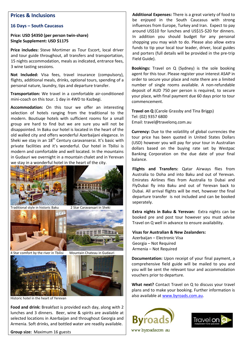## **Prices & Inclusions**

### **16 Days – South Caucasus**

### **Price: USD \$4350 (per person twin-share) Single Supplement: USD \$1175**

**Price includes:** Steve Mortimer as Tour Escort, local driver and tour guide throughout, all transfers and transportation, 15 nights accommodation, meals as indicated, entrance fees, 3 wine tasting sessions.

**Not Included:** Visa fees, travel insurance (compulsory), flights, additional meals, drinks, optional tours, spending of a personal nature, laundry, tips and departure transfer.

**Transportation:** We travel in a comfortable air‐conditioned mini-coach on this tour. 1 day in 4WD to Kazbegi.

**Accommodation:** On this tour we offer an interesting selection of hotels ranging from the traditional to the modern. Boutiuqe hotels with sufficient rooms for a small group are hard to find but we are sure you will not be disappointed. In Baku our hotel is located in the heart of the old walled city and offers wonderful Azerbaijani elegance. In Sheki we stay in an  $18<sup>th</sup>$  Century caravanserai. It's basic with private facilities and it's wonderful. Our hotel in Tbilisi is modern and comfortable and well located. In the mountains in Gudauri we overnight in a mountain chalet and in Yerevan we stay in a wonderful hotel in the heart of the city.



**Food and drink:** Breakfast is provided each day, along with 2 lunches and 3 dinners. Beer, wine & spirits are available at selected locations in Azerbaijan and throughout Georgia and Armenia. Soft drinks, and bottled water are readily available.

**Group size:** Maximum 16 guests

**Additional Expenses:** There is a great variety of food to be enjoyed in the South Caucasus with strong influences from Europe, Turkey and Iran. Expect to pay around US\$10 for lunches and US\$15‐\$20 for dinners. In addition you should budget for any personal shopping you may wish to do. Please also allow extra funds to tip your local tour leader, driver, local guides and porters (full details will be provided in the pre‐trip Field Guide).

**Bookings:** Travel on Q (Sydney) is the sole booking agent for this tour. Please register your interest ASAP in order to secure your place and note there are a limited number of single rooms available. A non‐refundable deposit of AUD 750 per person is required, to secure your place, with final payment due 60 days prior to tour commencement.

**Travel on Q** (Carole Grassby and Tina Briggs) Tel: (02) 9357 6800 Email: travel@travelonq.com.au

**Currency:** Due to the volatility of global currencies the tour price has been quoted in United States Dollars (USD) however you will pay for your tour in Australian dollars based on the buying rate set by Westpac Banking Corporation on the due date of your final balance.

**Flights and Transfers:** Qatar Airways flies from Australia to Doha and into Baku and out of Yerevan. Emirates Airlines flies from Australia to Dubai and FlyDubai fly into Baku and out of Yerevan back to Dubai. All arrival flights will be met, however the final departure transfer is not included and can be booked seperately.

**Extra nights in Baku & Yerevan:** Extra nights can be booked pre and post tour however you must advise Travel on Q well in advance to ensure availability.

### **Visas for Australian & New Zealanders:**  Azerbaijan – Electronic Visa Georgia – Not Required Armenia – Not Required

**Documentation:** Upon receipt of your final payment, a comprehensive field guide will be mailed to you and you will be sent the relevant tour and accommodation vouchers prior to departure.

**What next?** Contact Travel on Q to discuss your travel plans and to make your booking. Further information is also available at www.byroads.com.au.



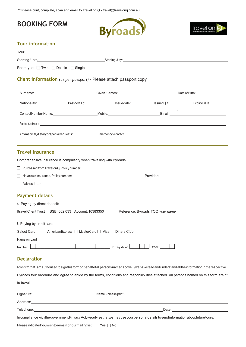\*\* Please print, complete, scan and email to Travel on Q - travel@travelonq.com.au

# **BOOKING FORM**





### **Tour information**

| Tour:                                                                                                                                                                                                                               |  |                                                                                                                                                                                                                                     |                                  |                                                                                                                                         |
|-------------------------------------------------------------------------------------------------------------------------------------------------------------------------------------------------------------------------------------|--|-------------------------------------------------------------------------------------------------------------------------------------------------------------------------------------------------------------------------------------|----------------------------------|-----------------------------------------------------------------------------------------------------------------------------------------|
|                                                                                                                                                                                                                                     |  | Starting Öate: <u>Contract Communication</u> Starting City: Contract Communication Contract Communication Contract Communication Communication Communication Communication Communication Communication Communication Communication  |                                  |                                                                                                                                         |
| Roomtype: Twin Double Single                                                                                                                                                                                                        |  |                                                                                                                                                                                                                                     |                                  |                                                                                                                                         |
|                                                                                                                                                                                                                                     |  | <b>Client information</b> (as per passport) - Please attach passport copy                                                                                                                                                           |                                  |                                                                                                                                         |
|                                                                                                                                                                                                                                     |  |                                                                                                                                                                                                                                     |                                  |                                                                                                                                         |
|                                                                                                                                                                                                                                     |  |                                                                                                                                                                                                                                     |                                  |                                                                                                                                         |
|                                                                                                                                                                                                                                     |  |                                                                                                                                                                                                                                     |                                  |                                                                                                                                         |
|                                                                                                                                                                                                                                     |  | ContactÑumberHome: Mobile: Mobile: Email: Email: ContactÑumberHome: ContactÑumberHome: ContactÑumberHome: Cont                                                                                                                      |                                  |                                                                                                                                         |
|                                                                                                                                                                                                                                     |  | Postal Oddress: <u>Communication of the communication of the communication</u> of the communication of the communication of the communication of the communication of the communication of the communication of the communication o |                                  |                                                                                                                                         |
|                                                                                                                                                                                                                                     |  |                                                                                                                                                                                                                                     |                                  |                                                                                                                                         |
| <b>Travel insurance</b>                                                                                                                                                                                                             |  |                                                                                                                                                                                                                                     |                                  |                                                                                                                                         |
| Comprehensive Insurance is compulsory when travelling with Byroads.                                                                                                                                                                 |  |                                                                                                                                                                                                                                     |                                  |                                                                                                                                         |
|                                                                                                                                                                                                                                     |  | $\Box$ Purchased from Travelon Q. Policy number: $\Box$                                                                                                                                                                             |                                  |                                                                                                                                         |
|                                                                                                                                                                                                                                     |  |                                                                                                                                                                                                                                     |                                  |                                                                                                                                         |
| Advise later                                                                                                                                                                                                                        |  |                                                                                                                                                                                                                                     |                                  |                                                                                                                                         |
| <b>Payment details</b>                                                                                                                                                                                                              |  |                                                                                                                                                                                                                                     |                                  |                                                                                                                                         |
| A. Paying by direct deposit:                                                                                                                                                                                                        |  |                                                                                                                                                                                                                                     |                                  |                                                                                                                                         |
| Itravel Client Trust BSB: 062 033 Account: 10383350                                                                                                                                                                                 |  |                                                                                                                                                                                                                                     | Reference: Byroads TOQ your name |                                                                                                                                         |
| B. Paying by credit card:                                                                                                                                                                                                           |  |                                                                                                                                                                                                                                     |                                  |                                                                                                                                         |
| Select Card: □ American Express □ MasterCard □ Visa □ Diners Club                                                                                                                                                                   |  |                                                                                                                                                                                                                                     |                                  |                                                                                                                                         |
| Name on card                                                                                                                                                                                                                        |  |                                                                                                                                                                                                                                     |                                  |                                                                                                                                         |
| Number:                                                                                                                                                                                                                             |  | Expiry date:                                                                                                                                                                                                                        | CVV:                             |                                                                                                                                         |
| <b>Declaration</b>                                                                                                                                                                                                                  |  |                                                                                                                                                                                                                                     |                                  |                                                                                                                                         |
|                                                                                                                                                                                                                                     |  | I confirm that I amauthorised to sign this form on behalf of all persons named above. I/we have read and understand all the information in the respective                                                                           |                                  |                                                                                                                                         |
|                                                                                                                                                                                                                                     |  |                                                                                                                                                                                                                                     |                                  | Byroads tour brochure and agree to abide by the terms, conditions and responsibilities attached. All persons named on this form are fit |
| to travel.                                                                                                                                                                                                                          |  |                                                                                                                                                                                                                                     |                                  |                                                                                                                                         |
|                                                                                                                                                                                                                                     |  |                                                                                                                                                                                                                                     |                                  |                                                                                                                                         |
| Address: <u>Address:</u> Address: Address: Address: Address: Address: Address: Address: Address: Address: Address: Address: Address: Address: Address: Address: Address: Address: Address: Address: Address: Address: Address: Addr |  |                                                                                                                                                                                                                                     |                                  |                                                                                                                                         |
|                                                                                                                                                                                                                                     |  | Telephone: https://www.archive.com/communications/communications/communications/communications/communications/                                                                                                                      |                                  |                                                                                                                                         |
|                                                                                                                                                                                                                                     |  |                                                                                                                                                                                                                                     |                                  |                                                                                                                                         |

IncompliancewiththegovernmentPrivacyAct,weadvisethatwemayuseyourpersonaldetailstosendinformationaboutfuturetours.